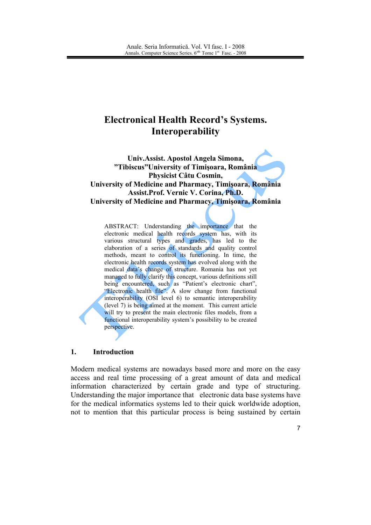# **Electronical Health Record's Systems. Interoperability**

Univ. Assist. Apostol Angela Simona, "Tibiscus" University of Timisoara, România Physicist Câtu Cosmin, University of Medicine and Pharmacy, Timisoara, România Assist. Prof. Vernic V. Corina, Ph.D. University of Medicine and Pharmacy, Timișoara, România

ABSTRACT: Understanding the importance that the electronic medical health records system has, with its various structural types and grades, has led to the elaboration of a series of standards and quality control methods, meant to control its functioning. In time, the electronic health records system has evolved along with the medical data's change of structure. Romania has not yet managed to fully clarify this concept, various definitions still being encountered, such as "Patient's electronic chart", "Electronic health file". A slow change from functional interoperability (OSI level 6) to semantic interoperability (level 7) is being aimed at the moment. This current article will try to present the main electronic files models, from a functional interoperability system's possibility to be created perspective.

#### $\mathbf{1}$ . **Introduction**

Modern medical systems are nowadays based more and more on the easy access and real time processing of a great amount of data and medical information characterized by certain grade and type of structuring. Understanding the major importance that electronic data base systems have for the medical informatics systems led to their quick worldwide adoption, not to mention that this particular process is being sustained by certain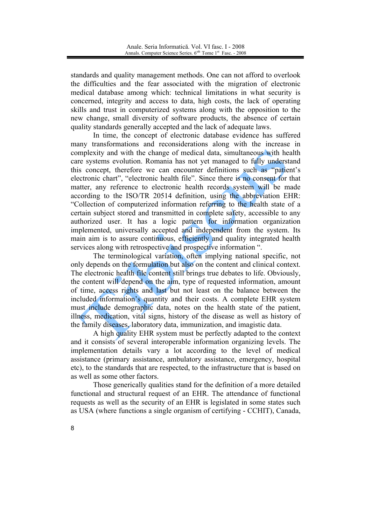standards and quality management methods. One can not afford to overlook the difficulties and the fear associated with the migration of electronic medical database among which: technical limitations in what security is concerned, integrity and access to data, high costs, the lack of operating skills and trust in computerized systems along with the opposition to the new change, small diversity of software products, the absence of certain quality standards generally accepted and the lack of adequate laws.

In time, the concept of electronic database evidence has suffered many transformations and reconsiderations along with the increase in complexity and with the change of medical data, simultaneous with health care systems evolution. Romania has not yet managed to fully understand this concept, therefore we can encounter definitions such as "patient's electronic chart", "electronic health file". Since there is no consent for that matter, any reference to electronic health records system will be made according to the ISO/TR 20514 definition, using the abbreviation EHR: "Collection of computerized information referring to the health state of a certain subject stored and transmitted in complete safety, accessible to any authorized user. It has a logic pattern for information organization implemented, universally accepted and independent from the system. Its main aim is to assure continuous, efficiently and quality integrated health services along with retrospective and prospective information ".

The terminological variation, often implying national specific, not only depends on the formulation but also on the content and clinical context. The electronic health file content still brings true debates to life. Obviously, the content will depend on the aim, type of requested information, amount of time, access rights and last but not least on the balance between the included information's quantity and their costs. A complete EHR system must include demographic data, notes on the health state of the patient, illness, medication, vital signs, history of the disease as well as history of the family diseases, laboratory data, immunization, and imagistic data.

A high quality EHR system must be perfectly adapted to the context and it consists of several interoperable information organizing levels. The implementation details vary a lot according to the level of medical assistance (primary assistance, ambulatory assistance, emergency, hospital etc), to the standards that are respected, to the infrastructure that is based on as well as some other factors

Those generically qualities stand for the definition of a more detailed functional and structural request of an EHR. The attendance of functional requests as well as the security of an EHR is legislated in some states such as USA (where functions a single organism of certifying - CCHIT), Canada,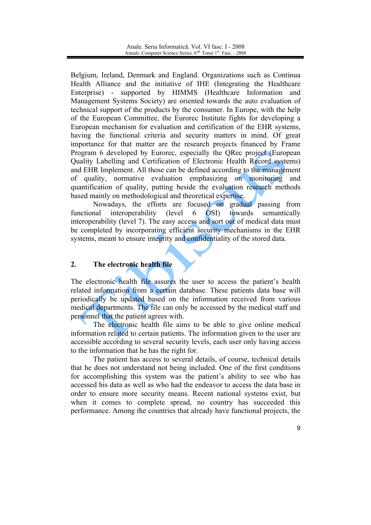Belgium, Ireland, Denmark and England. Organizations such as Continua Health Alliance and the initiative of IHE (Integrating the Healthcare Enterprise) - supported by HIMMS (Healthcare Information and Management Systems Society) are oriented towards the auto evaluation of technical support of the products by the consumer. In Europe, with the help of the European Committee, the Eurorec Institute fights for developing a European mechanism for evaluation and certification of the EHR systems, having the functional criteria and security matters in mind. Of great importance for that matter are the research projects financed by Frame Program 6 developed by Eurorec, especially the QRec project (European Quality Labelling and Certification of Electronic Health Record systems) and EHR Implement. All those can be defined according to the management of quality, normative evaluation emphasizing on monitoring and quantification of quality, putting beside the evaluation research methods based mainly on methodological and theoretical expertise.

Nowadays, the efforts are focused on gradual passing from functional interoperability (level) 6 OSI) towards semantically interoperability (level 7). The easy access and sort out of medical data must be completed by incorporating efficient security mechanisms in the EHR systems, meant to ensure integrity and confidentiality of the stored data.

#### $2.$ The electronic health file

The electronic health file assures the user to access the patient's health related information from a certain database. These patients data base will periodically be updated based on the information received from various medical departments. The file can only be accessed by the medical staff and personnel that the patient agrees with.

The electronic health file aims to be able to give online medical information related to certain patients. The information given to the user are accessible according to several security levels, each user only having access to the information that he has the right for.

The patient has access to several details, of course, technical details that he does not understand not being included. One of the first conditions for accomplishing this system was the patient's ability to see who has accessed his data as well as who had the endeavor to access the data base in order to ensure more security means. Recent national systems exist, but when it comes to complete spread, no country has succeeded this performance. Among the countries that already have functional projects, the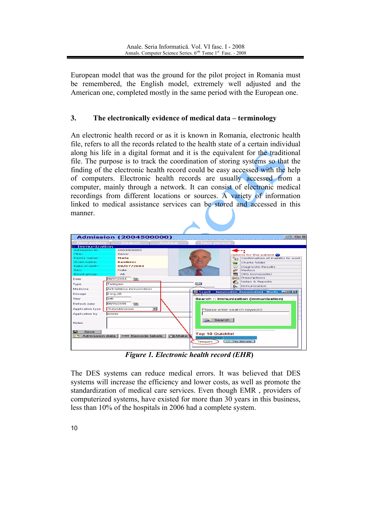European model that was the ground for the pilot project in Romania must be remembered, the English model, extremely well adjusted and the American one, completed mostly in the same period with the European one.

#### $3.$ The electronically evidence of medical data – terminology

An electronic health record or as it is known in Romania, electronic health file, refers to all the records related to the health state of a certain individual along his life in a digital format and it is the equivalent for the traditional file. The purpose is to track the coordination of storing systems so that the finding of the electronic health record could be easy accessed with the help of computers. Electronic health records are usually accessed from a computer, mainly through a network. It can consist of electronic medical recordings from different locations or sources. A variety of information linked to medical assistance services can be stored and accessed in this manner.

|                             | <b>Admission (2004500000)</b>   |                |                                                    |                                                                                                      |  |  |
|-----------------------------|---------------------------------|----------------|----------------------------------------------------|------------------------------------------------------------------------------------------------------|--|--|
| New patient                 | Search 1                        | Archive        | New person                                         |                                                                                                      |  |  |
| $::$ Immunization           |                                 |                |                                                    |                                                                                                      |  |  |
| Admission Nr.               | 2004500000                      |                |                                                    |                                                                                                      |  |  |
| Title:                      | Senor                           |                |                                                    | Options for this patient                                                                             |  |  |
| Mario<br>Family name:       |                                 |                |                                                    | Confirmation of inability to work<br>$\sim$                                                          |  |  |
| Given name:                 | <b>Banderas</b>                 |                |                                                    | Charts folder<br>G                                                                                   |  |  |
| Date of hirth:              | 08/07/2004                      |                |                                                    | $\odot$<br><b>Diagnostic Results</b>                                                                 |  |  |
| Sex:                        | male                            |                |                                                    | <b>CO</b><br>Medocs                                                                                  |  |  |
| Blood group:                | AB.                             |                |                                                    | <b>TOP</b><br>DRG (composite)                                                                        |  |  |
| Date                        | 08/07/2004<br><b>THE</b>        |                |                                                    | Prescriptions<br><b>Cardio</b>                                                                       |  |  |
| Type                        | Tetagam                         |                | 回目                                                 | Notes & Reports<br>ď.                                                                                |  |  |
| Medicine                    | Anti-tetanus immunization       |                |                                                    | $\mathbb{Q}_{K}$<br>Immunization                                                                     |  |  |
|                             |                                 |                |                                                    | <b>Billion must a second construction</b><br>Search :: Immunization (Immunization) - Mozilla   [ ] X |  |  |
| Dosage                      | $2$ mg./dl                      |                | <b>IN</b><br><b>SEC</b>                            |                                                                                                      |  |  |
| Titer                       | 345                             |                |                                                    | Search :: Immunization (Immunization)                                                                |  |  |
| Refresh date                | 08/06/2006<br><b>YEE</b>        |                |                                                    |                                                                                                      |  |  |
| <b>Application type</b>     | Subcutaneous                    | $\blacksquare$ |                                                    | Please enter search keyword:                                                                         |  |  |
| Application by              | ladmin                          |                |                                                    |                                                                                                      |  |  |
| <b>Notes</b>                |                                 |                |                                                    | Search                                                                                               |  |  |
| Е<br>Save<br>Admission data | <b>IIIIIIIII</b> Barcode labels | <b>子出Make</b>  | <b>Top 10 Quicklist</b><br>Immunization<br>Tetagam | Yes, this one!                                                                                       |  |  |

Figure 1. Electronic health record (EHR)

The DES systems can reduce medical errors. It was believed that DES systems will increase the efficiency and lower costs, as well as promote the standardization of medical care services. Even though EMR, providers of computerized systems, have existed for more than 30 years in this business, less than 10% of the hospitals in 2006 had a complete system.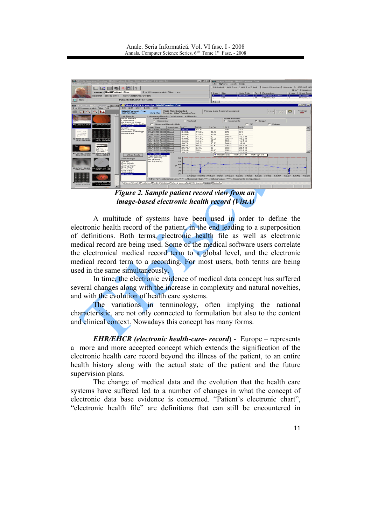

**Figure 2. Sample patient record view from an** *image-based electronic health record (VistA)* 

A multitude of systems have been used in order to define the electronic health record of the patient, in the end leading to a superposition of definitions. Both terms electronic health file as well as electronic medical record are being used. Some of the medical software users correlate the electronical medical record term to a global level, and the electronic medical record term to a recording. For most users, both terms are being used in the same simultaneously.

In time, the electronic evidence of medical data concept has suffered several changes along with the increase in complexity and natural novelties, and with the evolution of health care systems.

The variations in terminology, often implying the national characteristic, are not only connected to formulation but also to the content and clinical context. Nowadays this concept has many forms.

**EHR/EHCR** (electronic health-care- record) - Europe – represents a more and more accepted concept which extends the signification of the electronic health care record beyond the illness of the patient, to an entire health history along with the actual state of the patient and the future supervision plans.

The change of medical data and the evolution that the health care systems have suffered led to a number of changes in what the concept of electronic data base evidence is concerned. "Patient's electronic chart", "electronic health file" are definitions that can still be encountered in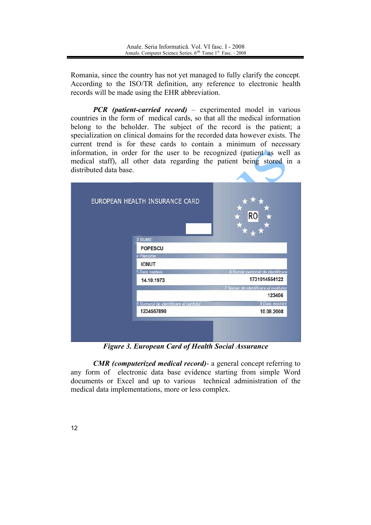Romania, since the country has not yet managed to fully clarify the concept. According to the ISO/TR definition, any reference to electronic health records will be made using the EHR abbreviation.

**PCR** (patient-carried record) – experimented model in various countries in the form of medical cards, so that all the medical information belong to the beholder. The subject of the record is the patient; a specialization on clinical domains for the recorded data however exists. The current trend is for these cards to contain a minimum of necessary information, in order for the user to be recognized (patient as well as medical staff), all other data regarding the patient being stored in a distributed data base

| EUROPEAN HEALTH INSURANCE CARD        | R0                                     |
|---------------------------------------|----------------------------------------|
| 3 NUME                                |                                        |
| <b>POPESCU</b>                        |                                        |
| 4 Prenume                             |                                        |
| <b>IONUT</b>                          |                                        |
| 5 Data nasterii                       | 6 Numar personal de identificare       |
| 14.10.1973                            | 1731014554122                          |
|                                       | 7 Numar de identificare al institutiei |
|                                       | 123456                                 |
| 8 Numarul de identificare al cardului | 9 Data expirarii                       |
| 1234567890                            | 10.08.2008                             |
|                                       |                                        |
|                                       |                                        |

**Figure 3. European Card of Health Social Assurance** 

**CMR** (computerized medical record) a general concept referring to any form of electronic data base evidence starting from simple Word documents or Excel and up to various technical administration of the medical data implementations, more or less complex.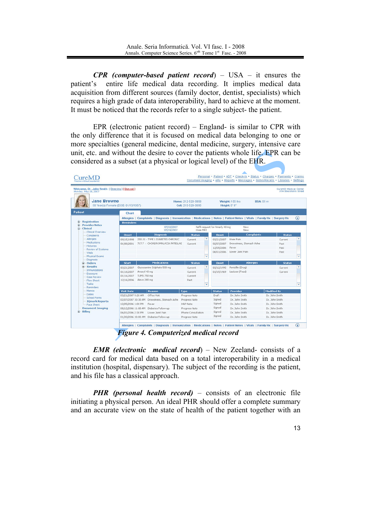**CPR** (computer-based patient record) – USA – it ensures the entire life medical data recording. It implies medical data patient's acquisition from different sources (family doctor, dentist, specialists) which requires a high grade of data interoperability, hard to achieve at the moment. It must be noticed that the records refer to a single subject- the patient.

EPR (electronic patient record)  $-$  England- is similar to CPR with the only difference that it is focused on medical data belonging to one or more specialties (general medicine, dental medicine, surgery, intensive care unit, etc. and without the desire to cover the patients whole life. EPR can be considered as a subset (at a physical or logical level) of the EHR.

| Welcome, Dr. John Smith [ Elearning ] [ Sign out ]<br>Monday, May 28, 2007 |                          |                                                                                                                           |                                          |   |                                 |                                                      | CureMD Medical Center | 374 Stockholm Street |
|----------------------------------------------------------------------------|--------------------------|---------------------------------------------------------------------------------------------------------------------------|------------------------------------------|---|---------------------------------|------------------------------------------------------|-----------------------|----------------------|
| <b>Jane Browne</b><br>50 Year(s) Female (DOB: 01/15/1957)                  |                          |                                                                                                                           | Home: 212-520-5858<br>Cell: 215-528-5695 |   |                                 | Weight: 155 lbs<br><b>BSA: 55 m</b><br>Height: 5' 8" |                       |                      |
| <b>Patient</b>                                                             | Chart                    |                                                                                                                           |                                          |   |                                 |                                                      |                       |                      |
|                                                                            |                          | Allergies   Complaints   Diagnosis   Immunization   Medications   Notes   Patient Notes   Vitals   Family Hx   Surgery Hx |                                          |   |                                 |                                                      |                       | $\circledast$        |
| <b>Registration</b><br><b>Provider Notes</b><br>Ð                          | <b>Reminders</b>         |                                                                                                                           |                                          |   |                                 |                                                      |                       |                      |
| - Clinical                                                                 |                          | 07/19/2007<br>07/19/2007                                                                                                  | Knee MRI                                 |   | Refill request for Amarly 40 mg | New<br>New                                           |                       |                      |
| Clinical Overview<br>Complaints                                            | <b>Onset</b>             | <b>Diagnosis</b>                                                                                                          | <b>Status</b>                            |   | <b>Onset</b>                    | <b>Complaints</b>                                    | <b>Status</b>         |                      |
| Allergies                                                                  | 09/15/1998               | 250.01 - TYPE 1 DIABETES CHRONIC                                                                                          | Current                                  | ٠ | 03/21/2007                      | Knee Pain                                            | Current               |                      |
| Medications                                                                | 01/08/2001               | 717.7 - CHONDROMALACIA PATELLAE                                                                                           | Current                                  |   | 02/07/2007                      | Drowsiness, Stomach Ache                             | Past                  |                      |
| <b>Histories</b><br><b>Review of Systems</b>                               |                          |                                                                                                                           |                                          |   | 12/05/2006                      | Fever                                                | Past                  |                      |
| <b>Wtals</b>                                                               |                          |                                                                                                                           |                                          |   | 06/01/2006                      | Lower Joint Pain                                     | Past                  |                      |
| <b>Physical Exams</b>                                                      |                          |                                                                                                                           |                                          | ٠ |                                 |                                                      |                       |                      |
| Diagnosis<br>- Orders                                                      | <b>Start</b>             | <b>Medications</b>                                                                                                        | <b>Status</b>                            |   | <b>Onset</b>                    | <b>Allergies</b>                                     | <b>Status</b>         |                      |
| <b>Results</b>                                                             |                          | Glucosamine Sulphate 500 mg                                                                                               |                                          |   |                                 |                                                      |                       |                      |
| Immunizations                                                              | 03/21/2007<br>01/16/2007 | Amaryl 40 mg                                                                                                              | Current<br>Current                       |   | 03/12/1995<br>01/15/1969        | Pericilin (Drug)<br>Lactose (Food)                   | Current<br>Current    |                      |
| Exposure                                                                   | 01/16/2007               | TUMS 750 mg                                                                                                               | Current                                  |   |                                 |                                                      |                       |                      |
| Case Review<br>Flow Sheet                                                  | 12/16/2006               | Aleve 200 mg                                                                                                              | Past                                     |   |                                 |                                                      |                       |                      |
| Tasks                                                                      |                          |                                                                                                                           |                                          |   |                                 |                                                      |                       |                      |
| <b>Reminders</b>                                                           |                          |                                                                                                                           |                                          |   |                                 |                                                      |                       |                      |
| Memos<br>Dates                                                             | <b>Visit Date</b>        | <b>Reason</b>                                                                                                             | <b>Type</b>                              |   | <b>Status</b>                   | Provider                                             | <b>Modified By</b>    |                      |
| <b>School Forms</b>                                                        | 03/21/2007 9:20 AM       | Office Visit                                                                                                              | Progress Note                            |   | Draft                           | Dr. John Smith                                       | Dr. John Smith        |                      |
| <b>IQmark Reports</b>                                                      | 02/07/2007 10:30 AM      | Drowsiness, Stomach Ache                                                                                                  | Progress Note                            |   | Signed                          | Dr. John Smith                                       | Dr. John Smith        |                      |
| Face Sheet                                                                 | 12/05/2006 1:00 PM       | Fever                                                                                                                     | H&P Note                                 |   | Signed                          | Dr. John Smith                                       | Dr. John Smith        |                      |
| <b>Document Imaging</b><br>Billing                                         | 08/12/2006 11:00 AM      | Diabetes Follow-up                                                                                                        | Progress Note                            |   | Signed                          | Dr. John Smith                                       | Dr. John Smith        |                      |
|                                                                            | 06/01/2006 2:30 PM       | Lower Joint Pain                                                                                                          | Phone Consultation                       |   | Signed<br>Signed                | Dr. John Smith                                       | Dr. John Smith        |                      |

**Figure 4. Computerized medical record** 

**EMR** (electronic medical record) – New Zeeland-consists of a record card for medical data based on a total interoperability in a medical institution (hospital, dispensary). The subject of the recording is the patient, and his file has a classical approach.

**PHR** (personal health record) – consists of an electronic file initiating a physical person. An ideal PHR should offer a complete summary and an accurate view on the state of health of the patient together with an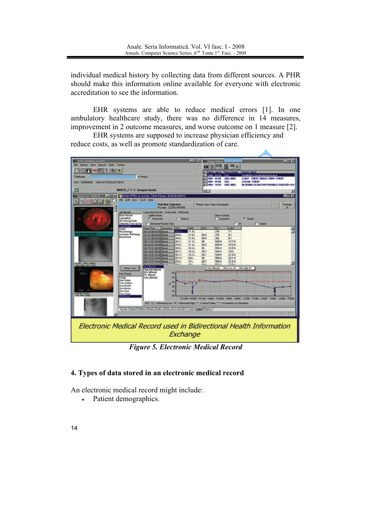individual medical history by collecting data from different sources. A PHR should make this information online available for everyone with electronic accreditation to see the information.

EHR systems are able to reduce medical errors [1]. In one ambulatory healthcare study, there was no difference in 14 measures, improvement in 2 outcome measures, and worse outcome on 1 measure [2].

EHR systems are supposed to increase physician efficiency and reduce costs, as well as promote standardization of care.



**Figure 5. Electronic Medical Record** 

# 4. Types of data stored in an electronic medical record

An electronic medical record might include:

Patient demographics.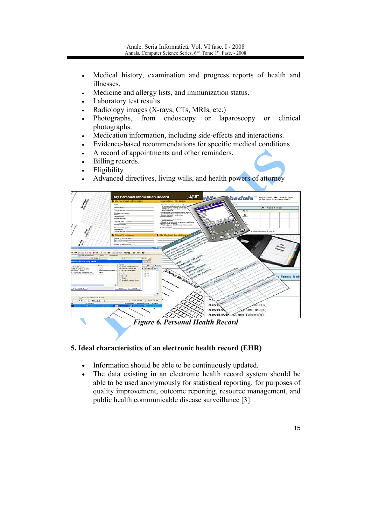- Medical history, examination and progress reports of health and  $\bullet$ illnesses.
- Medicine and allergy lists, and immunization status.
- Laboratory test results.
- Radiology images (X-rays, CTs, MRIs, etc.)
- Photographs, from endoscopy or laparoscopy clinical <sub>or</sub> photographs.
- Medication information, including side-effects and interactions.
- Evidence-based recommendations for specific medical conditions
- A record of appointments and other reminders.
- Billing records.
- Eligibility
- Advanced directives, living wills, and health powers of attorney



# 5. Ideal characteristics of an electronic health record (EHR)

- Information should be able to be continuously updated.
- The data existing in an electronic health record system should be  $\bullet$ able to be used anonymously for statistical reporting, for purposes of quality improvement, outcome reporting, resource management, and public health communicable disease surveillance [3].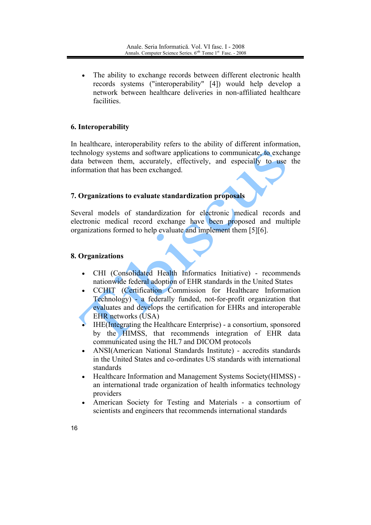The ability to exchange records between different electronic health records systems ("interoperability" [4]) would help develop a network between healthcare deliveries in non-affiliated healthcare facilities

## 6. Interoperability

In healthcare, interoperability refers to the ability of different information, technology systems and software applications to communicate, to exchange data between them, accurately, effectively, and especially to use the information that has been exchanged.

### 7. Organizations to evaluate standardization proposals

Several models of standardization for electronic medical records and electronic medical record exchange have been proposed and multiple organizations formed to help evaluate and implement them [5][6].

### 8. Organizations

- CHI (Consolidated Health Informatics Initiative) recommends  $\bullet$ nationwide federal adoption of EHR standards in the United States
- CCHIT (Certification Commission for Healthcare Information Technology) - a federally funded, not-for-profit organization that evaluates and develops the certification for EHRs and interoperable **EHR** networks (USA)
- IHE (Integrating the Healthcare Enterprise) a consortium, sponsored by the HIMSS, that recommends integration of EHR data communicated using the HL7 and DICOM protocols
- ANSI(American National Standards Institute) accredits standards  $\bullet$ in the United States and co-ordinates US standards with international standards
- Healthcare Information and Management Systems Society (HIMSS) an international trade organization of health informatics technology providers
- American Society for Testing and Materials a consortium of scientists and engineers that recommends international standards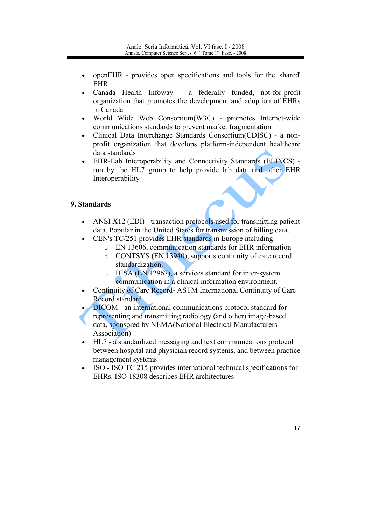- openEHR provides open specifications and tools for the 'shared'  $\bullet$ **EHR**
- Canada Health Infoway a federally funded, not-for-profit organization that promotes the development and adoption of EHRs in Canada
- World Wide Web Consortium(W3C) promotes Internet-wide communications standards to prevent market fragmentation
- Clinical Data Interchange Standards Consortium(CDISC) a non- $\bullet$ profit organization that develops platform-independent healthcare data standards
- EHR-Lab Interoperability and Connectivity Standards (ELINCS) run by the HL7 group to help provide lab data and other EHR Interoperability

# 9. Standards

- ANSI X12 (EDI) transaction protocols used for transmitting patient  $\bullet$ data. Popular in the United States for transmission of billing data.
	- CEN's TC/251 provides EHR standards in Europe including:
		- o EN 13606, communication standards for EHR information
		- o CONTSYS (EN 13940), supports continuity of care record standardization.
		- HISA (EN 12967), a services standard for inter-system  $\circ$ communication in a clinical information environment.
- Continuity of Care Record- ASTM International Continuity of Care  $\bullet$ Record standard
- **DICOM** an international communications protocol standard for representing and transmitting radiology (and other) image-based data, sponsored by NEMA(National Electrical Manufacturers Association)
- HL7 a standardized messaging and text communications protocol between hospital and physician record systems, and between practice management systems
- ISO ISO TC 215 provides international technical specifications for  $\bullet$ EHRs ISO 18308 describes EHR architectures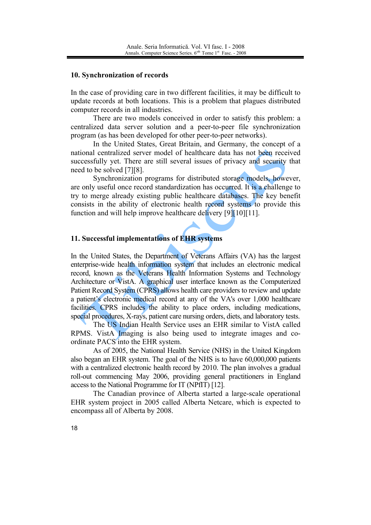#### 10. Synchronization of records

In the case of providing care in two different facilities, it may be difficult to update records at both locations. This is a problem that plagues distributed computer records in all industries.

There are two models conceived in order to satisfy this problem: a centralized data server solution and a peer-to-peer file synchronization program (as has been developed for other peer-to-peer networks).

In the United States, Great Britain, and Germany, the concept of a national centralized server model of healthcare data has not been received successfully yet. There are still several issues of privacy and security that need to be solved [7][8].

Synchronization programs for distributed storage models, however, are only useful once record standardization has occurred. It is a challenge to try to merge already existing public healthcare databases. The key benefit consists in the ability of electronic health record systems to provide this function and will help improve healthcare delivery [9][10][11].

### 11. Successful implementations of EHR systems

In the United States, the Department of Veterans Affairs (VA) has the largest enterprise-wide health information system that includes an electronic medical record, known as the Veterans Health Information Systems and Technology Architecture or VistA. A graphical user interface known as the Computerized Patient Record System (CPRS) allows health care providers to review and update a patient's electronic medical record at any of the VA's over 1,000 healthcare facilities. CPRS includes the ability to place orders, including medications, special procedures, X-rays, patient care nursing orders, diets, and laboratory tests.

The US Indian Health Service uses an EHR similar to VistA called RPMS. VistA Imaging is also being used to integrate images and coordinate PACS into the EHR system.

As of 2005, the National Health Service (NHS) in the United Kingdom also began an EHR system. The goal of the NHS is to have 60,000,000 patients with a centralized electronic health record by 2010. The plan involves a gradual roll-out commencing May 2006, providing general practitioners in England access to the National Programme for IT (NPfIT) [12].

The Canadian province of Alberta started a large-scale operational EHR system project in 2005 called Alberta Netcare, which is expected to encompass all of Alberta by 2008.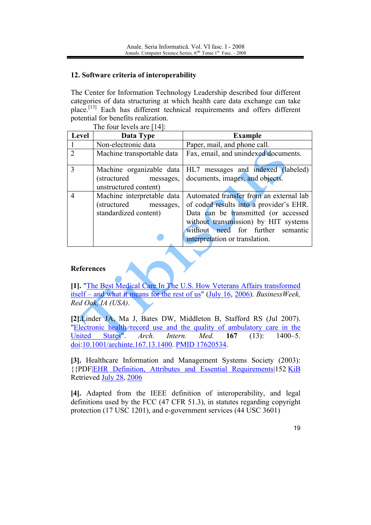# 12. Software criteria of interoperability

The Center for Information Technology Leadership described four different categories of data structuring at which health care data exchange can take place.<sup>[13]</sup> Each has different technical requirements and offers different potential for benefits realization.

The four levels are [14].

| <b>Level</b>                | Data Type                                                                    | <b>Example</b>                                                                                                                                                                                                                            |
|-----------------------------|------------------------------------------------------------------------------|-------------------------------------------------------------------------------------------------------------------------------------------------------------------------------------------------------------------------------------------|
|                             | Non-electronic data                                                          | Paper, mail, and phone call.                                                                                                                                                                                                              |
| $\mathcal{D}_{\mathcal{L}}$ | Machine transportable data                                                   | Fax, email, and unindexed documents.                                                                                                                                                                                                      |
| $\mathbf{3}$                | Machine organizable data<br>(structured messages,<br>unstructured content)   | HL7 messages and indexed (labeled)<br>documents, images, and objects.                                                                                                                                                                     |
| 4                           | Machine interpretable data<br>(structured messages,<br>standardized content) | Automated transfer from an external lab<br>of coded results into a provider's EHR.<br>Data can be transmitted (or accessed<br>without transmission) by HIT systems<br>without need for further semantic<br>interpretation or translation. |

# **References**

[1]. "The Best Medical Care In The U.S. How Veterans Affairs transformed itself – and what it means for the rest of us" (July 16, 2006). Business Week, Red Oak, IA (USA).

[2].Linder JA, Ma J, Bates DW, Middleton B, Stafford RS (Jul 2007). "Electronic health record use and the quality of ambulatory care in the States".  $Arch.$ Med. United Intern. 167  $(13)$ :  $1400 - 5$ . doi:10.1001/archinte.167.13.1400. PMID 17620534.

[3]. Healthcare Information and Management Systems Society (2003): {{PDF|EHR Definition, Attributes and Essential Requirements|152 KiB Retrieved July 28, 2006

[4]. Adapted from the IEEE definition of interoperability, and legal definitions used by the FCC (47 CFR 51.3), in statutes regarding copyright protection (17 USC 1201), and e-government services (44 USC 3601)